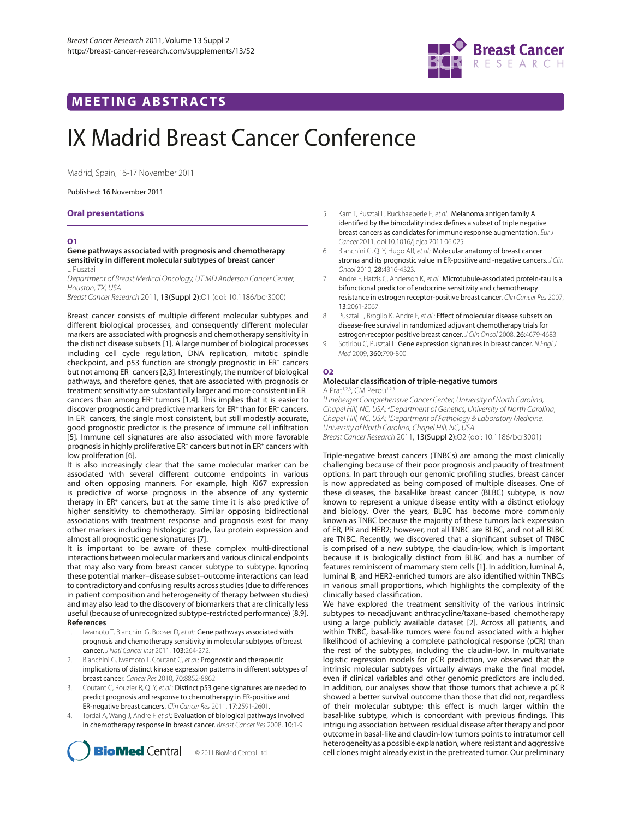

## **MEETING ABSTRACTS**

# IX Madrid Breast Cancer Conference

Madrid, Spain, 16-17 November 2011

Published: 16 November 2011

## **Oral presentations**

## **O1**

#### **Gene pathways associated with prognosis and chemotherapy**  sensitivity in different molecular subtypes of breast cancer L Pusztai

Department of Breast Medical Oncology, UT MD Anderson Cancer Center, Houston, TX, USA

Breast Cancer Research 2011, 13(Suppl 2):O1 (doi: 10.1186/bcr3000)

Breast cancer consists of multiple different molecular subtypes and different biological processes, and consequently different molecular markers are associated with prognosis and chemotherapy sensitivity in the distinct disease subsets [1]. A large number of biological processes including cell cycle regulation, DNA replication, mitotic spindle checkpoint, and p53 function are strongly prognostic in ER<sup>+</sup> cancers but not among ER<sup>-</sup> cancers [2,3]. Interestingly, the number of biological pathways, and therefore genes, that are associated with prognosis or treatment sensitivity are substantially larger and more consistent in ER+ cancers than among ER<sup>-</sup> tumors [1,4]. This implies that it is easier to discover prognostic and predictive markers for ER<sup>+</sup> than for ER<sup>-</sup> cancers. In ER– cancers, the single most consistent, but still modestly accurate, good prognostic predictor is the presence of immune cell infiltration [5]. Immune cell signatures are also associated with more favorable prognosis in highly proliferative ER<sup>+</sup> cancers but not in ER<sup>+</sup> cancers with low proliferation [6].

It is also increasingly clear that the same molecular marker can be associated with several different outcome endpoints in various and often opposing manners. For example, high Ki67 expression is predictive of worse prognosis in the absence of any systemic therapy in  $ER<sup>+</sup>$  cancers, but at the same time it is also predictive of higher sensitivity to chemotherapy. Similar opposing bidirectional associations with treatment response and prognosis exist for many other markers including histologic grade, Tau protein expression and almost all prognostic gene signatures [7].

It is important to be aware of these complex multi-directional interactions between molecular markers and various clinical endpoints that may also vary from breast cancer subtype to subtype. Ignoring these potential marker–disease subset–outcome interactions can lead to contradictory and confusing results across studies (due to differences in patient composition and heterogeneity of therapy between studies) and may also lead to the discovery of biomarkers that are clinically less useful (because of unrecognized subtype-restricted performance) [8,9]. **References**

- Iwamoto T, Bianchini G, Booser D, et al.: Gene pathways associated with prognosis and chemotherapy sensitivity in molecular subtypes of breast cancer. J Natl Cancer Inst 2011, 103:264-272.
- Bianchini G, Iwamoto T, Coutant C, et al.: Prognostic and therapeutic implications of distinct kinase expression patterns in different subtypes of breast cancer. Cancer Res 2010, 70:8852-8862.
- 3. Coutant C, Rouzier R, Qi Y, et al.: Distinct p53 gene signatures are needed to predict prognosis and response to chemotherapy in ER-positive and ER-negative breast cancers. Clin Cancer Res 2011, 17:2591-2601.
- 4. Tordai A, Wang J, Andre F, et al.: Evaluation of biological pathways involved in chemotherapy response in breast cancer. Breast Cancer Res 2008, 10:1-9.



- 5. Karn T, Pusztai L, Ruckhaeberle E, et al.: Melanoma antigen family A identified by the bimodality index defines a subset of triple negative breast cancers as candidates for immune response augmentation. Eur J Cancer 2011. doi:10.1016/j.ejca.2011.06.025.
- 6. Bianchini G, Qi Y, Hugo AR, et al.: Molecular anatomy of breast cancer stroma and its prognostic value in ER-positive and -negative cancers. J Clin Oncol 2010, 28:4316-4323.
- 7. Andre F, Hatzis C, Anderson K, et al.: Microtubule-associated protein-tau is a bifunctional predictor of endocrine sensitivity and chemotherapy resistance in estrogen receptor-positive breast cancer. Clin Cancer Res 2007, 13:2061-2067.
- Pusztai L, Broglio K, Andre F, et al.: Effect of molecular disease subsets on disease-free survival in randomized adjuvant chemotherapy trials for estrogen-receptor positive breast cancer. J Clin Oncol 2008, 26:4679-4683.
- 9. Sotiriou C, Pusztai L: Gene expression signatures in breast cancer. N Engl J Med 2009, 360:790-800.

## **O2**

## **Molecular classification of triple-negative tumors**

A Prat<sup>1,2,3</sup>, CM Perou<sup>1,2,3</sup>

1 Lineberger Comprehensive Cancer Center, University of North Carolina, Chapel Hill, NC, USA; 2 Department of Genetics, University of North Carolina, Chapel Hill, NC, USA; <sup>3</sup>Department of Pathology & Laboratory Medicine, University of North Carolina, Chapel Hill, NC, USA

Breast Cancer Research 2011, 13(Suppl 2):O2 (doi: 10.1186/bcr3001)

Triple-negative breast cancers (TNBCs) are among the most clinically challenging because of their poor prognosis and paucity of treatment options. In part through our genomic profiling studies, breast cancer is now appreciated as being composed of multiple diseases. One of these diseases, the basal-like breast cancer (BLBC) subtype, is now known to represent a unique disease entity with a distinct etiology and biology. Over the years, BLBC has become more commonly known as TNBC because the majority of these tumors lack expression of ER, PR and HER2; however, not all TNBC are BLBC, and not all BLBC are TNBC. Recently, we discovered that a significant subset of TNBC is comprised of a new subtype, the claudin-low, which is important because it is biologically distinct from BLBC and has a number of features reminiscent of mammary stem cells [1]. In addition, luminal A, luminal B, and HER2-enriched tumors are also identified within TNBCs in various small proportions, which highlights the complexity of the clinically based classification.

We have explored the treatment sensitivity of the various intrinsic subtypes to neoadjuvant anthracycline/taxane-based chemotherapy using a large publicly available dataset [2]. Across all patients, and within TNBC, basal-like tumors were found associated with a higher likelihood of achieving a complete pathological response (pCR) than the rest of the subtypes, including the claudin-low. In multivariate logistic regression models for pCR prediction, we observed that the intrinsic molecular subtypes virtually always make the final model, even if clinical variables and other genomic predictors are included. In addition, our analyses show that those tumors that achieve a pCR showed a better survival outcome than those that did not, regardless of their molecular subtype; this effect is much larger within the basal-like subtype, which is concordant with previous findings. This intriguing association between residual disease after therapy and poor outcome in basal-like and claudin-low tumors points to intratumor cell heterogeneity as a possible explanation, where resistant and aggressive cell clones might already exist in the pretreated tumor. Our preliminary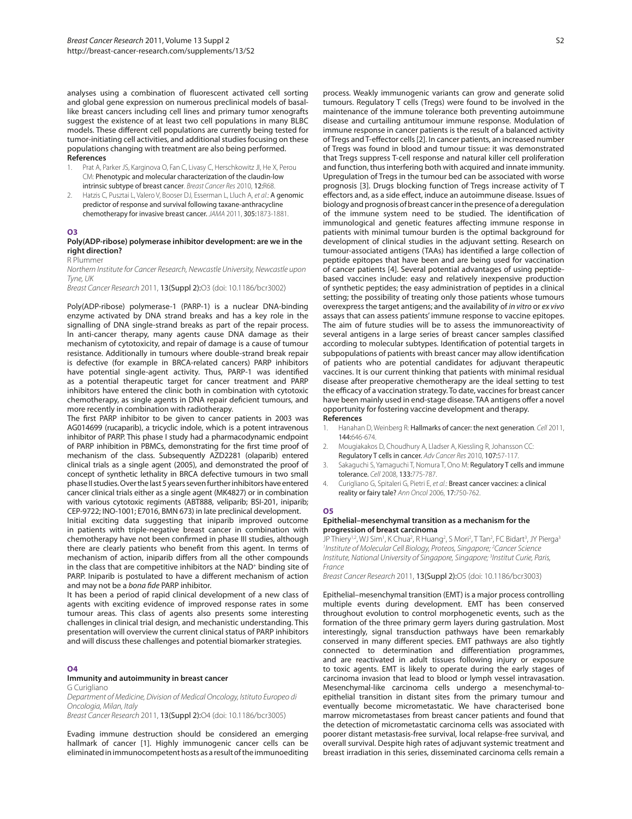analyses using a combination of fluorescent activated cell sorting and global gene expression on numerous preclinical models of basallike breast cancers including cell lines and primary tumor xenografts suggest the existence of at least two cell populations in many BLBC models. These different cell populations are currently being tested for tumor-initiating cell activities, and additional studies focusing on these populations changing with treatment are also being performed. **References**

- Prat A, Parker JS, Karginova O, Fan C, Livasy C, Herschkowitz JI, He X, Perou CM: Phenotypic and molecular characterization of the claudin-low intrinsic subtype of breast cancer. Breast Cancer Res 2010, 12:R68.
- 2. Hatzis C, Pusztai L, Valero V, Booser DJ, Esserman L, Lluch A, et al.: A genomic predictor of response and survival following taxane-anthracycline chemotherapy for invasive breast cancer. JAMA 2011, 305:1873-1881.

#### **O3**

## **Poly(ADP-ribose) polymerase inhibitor development: are we in the right direction?**

#### R Plummer

Northern Institute for Cancer Research, Newcastle University, Newcastle upon Tyne, UK

Breast Cancer Research 2011, 13(Suppl 2):O3 (doi: 10.1186/bcr3002)

Poly(ADP-ribose) polymerase-1 (PARP-1) is a nuclear DNA-binding enzyme activated by DNA strand breaks and has a key role in the signalling of DNA single-strand breaks as part of the repair process. In anti-cancer therapy, many agents cause DNA damage as their mechanism of cytotoxicity, and repair of damage is a cause of tumour resistance. Additionally in tumours where double-strand break repair is defective (for example in BRCA-related cancers) PARP inhibitors have potential single-agent activity. Thus, PARP-1 was identified as a potential therapeutic target for cancer treatment and PARP inhibitors have entered the clinic both in combination with cytotoxic chemotherapy, as single agents in DNA repair deficient tumours, and more recently in combination with radiotherapy.

The first PARP inhibitor to be given to cancer patients in 2003 was AG014699 (rucaparib), a tricyclic indole, which is a potent intravenous inhibitor of PARP. This phase I study had a pharmacodynamic endpoint of PARP inhibition in PBMCs, demonstrating for the first time proof of mechanism of the class. Subsequently AZD2281 (olaparib) entered clinical trials as a single agent (2005), and demonstrated the proof of concept of synthetic lethality in BRCA defective tumours in two small phase II studies. Over the last 5 years seven further inhibitors have entered cancer clinical trials either as a single agent (MK4827) or in combination with various cytotoxic regiments (ABT888, veliparib; BSI-201, iniparib; CEP-9722; INO-1001; E7016, BMN 673) in late preclinical development.

Initial exciting data suggesting that iniparib improved outcome in patients with triple-negative breast cancer in combination with chemotherapy have not been confirmed in phase III studies, although there are clearly patients who benefit from this agent. In terms of mechanism of action, iniparib differs from all the other compounds in the class that are competitive inhibitors at the NAD<sup>+</sup> binding site of PARP. Iniparib is postulated to have a different mechanism of action and may not be a bona fide PARP inhibitor.

It has been a period of rapid clinical development of a new class of agents with exciting evidence of improved response rates in some tumour areas. This class of agents also presents some interesting challenges in clinical trial design, and mechanistic understanding. This presentation will overview the current clinical status of PARP inhibitors and will discuss these challenges and potential biomarker strategies.

## **O4**

#### **Immunity and autoimmunity in breast cancer**

G Curigliano

Department of Medicine, Division of Medical Oncology, Istituto Europeo di Oncologia, Milan, Italy

Breast Cancer Research 2011, 13(Suppl 2):O4 (doi: 10.1186/bcr3005)

Evading immune destruction should be considered an emerging hallmark of cancer [1]. Highly immunogenic cancer cells can be eliminated in immunocompetent hosts as a result of the immunoediting process. Weakly immunogenic variants can grow and generate solid tumours. Regulatory T cells (Tregs) were found to be involved in the maintenance of the immune tolerance both preventing autoimmune disease and curtailing antitumour immune response. Modulation of immune response in cancer patients is the result of a balanced activity of Tregs and T-effector cells [2]. In cancer patients, an increased number of Tregs was found in blood and tumour tissue: it was demonstrated that Tregs suppress T-cell response and natural killer cell proliferation and function, thus interfering both with acquired and innate immunity. Upregulation of Tregs in the tumour bed can be associated with worse prognosis [3]. Drugs blocking function of Tregs increase activity of T effectors and, as a side effect, induce an autoimmune disease. Issues of biology and prognosis of breast cancer in the presence of a deregulation of the immune system need to be studied. The identification of immunological and genetic features affecting immune response in patients with minimal tumour burden is the optimal background for development of clinical studies in the adjuvant setting. Research on tumour-associated antigens (TAAs) has identified a large collection of peptide epitopes that have been and are being used for vaccination of cancer patients [4]. Several potential advantages of using peptidebased vaccines include: easy and relatively inexpensive production of synthetic peptides; the easy administration of peptides in a clinical setting; the possibility of treating only those patients whose tumours overexpress the target antigens; and the availability of in vitro or ex vivo assays that can assess patients' immune response to vaccine epitopes. The aim of future studies will be to assess the immunoreactivity of several antigens in a large series of breast cancer samples classified according to molecular subtypes. Identification of potential targets in subpopulations of patients with breast cancer may allow identification of patients who are potential candidates for adjuvant therapeutic vaccines. It is our current thinking that patients with minimal residual disease after preoperative chemotherapy are the ideal setting to test the efficacy of a vaccination strategy. To date, vaccines for breast cancer have been mainly used in end-stage disease. TAA antigens offer a novel opportunity for fostering vaccine development and therapy.

**References**

- 1. Hanahan D, Weinberg R: Hallmarks of cancer: the next generation. Cell 2011, 144:646-674.
- 2. Mougiakakos D, Choudhury A, Lladser A, Kiessling R, Johansson CC: Regulatory T cells in cancer. Adv Cancer Res 2010, 107:57-117.
- 3. Sakaguchi S, Yamaguchi T, Nomura T, Ono M: Regulatory T cells and immune tolerance. Cell 2008, 133:775-787.
- 4. Curigliano G, Spitaleri G, Pietri E, et al.: Breast cancer vaccines: a clinical reality or fairy tale? Ann Oncol 2006, 17:750-762.

## **O5**

#### **Epithelial–mesenchymal transition as a mechanism for the progression of breast carcinoma**

JP Thiery<sup>1,2</sup>, WJ Sim<sup>1</sup>, K Chua<sup>2</sup>, R Huang<sup>2</sup>, S Mori<sup>2</sup>, T Tan<sup>2</sup>, FC Bidart<sup>3</sup>, JY Pierga<sup>3</sup> <sup>1</sup> Institute of Molecular Cell Biology, Proteos, Singapore; <sup>2</sup> Cancer Science Institute, National University of Singapore, Singapore; 3 Institut Curie, Paris, France

Breast Cancer Research 2011, 13(Suppl 2):O5 (doi: 10.1186/bcr3003)

Epithelial–mesenchymal transition (EMT) is a major process controlling multiple events during development. EMT has been conserved throughout evolution to control morphogenetic events, such as the formation of the three primary germ layers during gastrulation. Most interestingly, signal transduction pathways have been remarkably conserved in many different species. EMT pathways are also tightly connected to determination and differentiation programmes, and are reactivated in adult tissues following injury or exposure to toxic agents. EMT is likely to operate during the early stages of carcinoma invasion that lead to blood or lymph vessel intravasation. Mesenchymal-like carcinoma cells undergo a mesenchymal-toepithelial transition in distant sites from the primary tumour and eventually become micrometastatic. We have characterised bone marrow micrometastases from breast cancer patients and found that the detection of micrometastatic carcinoma cells was associated with poorer distant metastasis-free survival, local relapse-free survival, and overall survival. Despite high rates of adjuvant systemic treatment and breast irradiation in this series, disseminated carcinoma cells remain a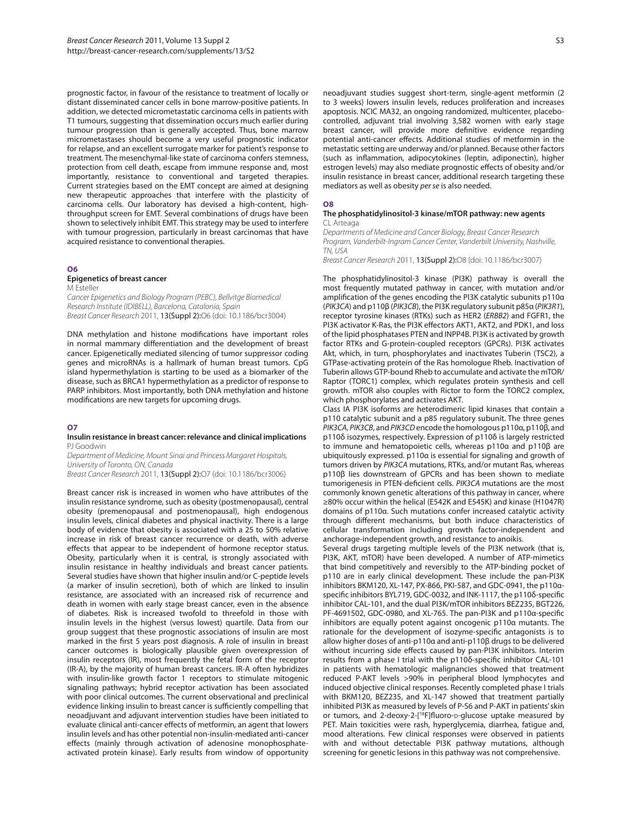prognostic factor, in favour of the resistance to treatment of locally or distant disseminated cancer cells in bone marrow-positive patients. In addition, we detected micrometastatic carcinoma cells in patients with T1 tumours, suggesting that dissemination occurs much earlier during tumour progression than is generally accepted. Thus, bone marrow micrometastases should become a very useful prognostic indicator for relapse, and an excellent surrogate marker for patient's response to treatment. The mesenchymal-like state of carcinoma confers stemness, protection from cell death, escape from immune response and, most importantly, resistance to conventional and targeted therapies. Current strategies based on the EMT concept are aimed at designing new therapeutic approaches that interfere with the plasticity of carcinoma cells. Our laboratory has devised a high-content, highthroughput screen for EMT. Several combinations of drugs have been shown to selectively inhibit EMT. This strategy may be used to interfere with tumour progression, particularly in breast carcinomas that have acquired resistance to conventional therapies.

#### **O6**

#### **Epigenetics of breast cancer**

M Esteller Cancer Epigenetics and Biology Program (PEBC), Bellvitge Biomedical Research Institute (IDIBELL), Barcelona, Catalonia, Spain Breast Cancer Research 2011, 13(Suppl 2):O6 (doi: 10.1186/bcr3004)

DNA methylation and histone modifications have important roles in normal mammary differentiation and the development of breast cancer. Epigenetically mediated silencing of tumor suppressor coding genes and microRNAs is a hallmark of human breast tumors. CpG island hypermethylation is starting to be used as a biomarker of the disease, such as BRCA1 hypermethylation as a predictor of response to PARP inhibitors. Most importantly, both DNA methylation and histone modifications are new targets for upcoming drugs.

#### **O7**

#### **Insulin resistance in breast cancer: relevance and clinical implications** PJ Goodwin

Department of Medicine, Mount Sinai and Princess Margaret Hospitals, University of Toronto, ON, Canada Breast Cancer Research 2011, 13(Suppl 2):O7 (doi: 10.1186/bcr3006)

Breast cancer risk is increased in women who have attributes of the insulin resistance syndrome, such as obesity (postmenopausal), central obesity (premenopausal and postmenopausal), high endogenous insulin levels, clinical diabetes and physical inactivity. There is a large body of evidence that obesity is associated with a 25 to 50% relative increase in risk of breast cancer recurrence or death, with adverse effects that appear to be independent of hormone receptor status. Obesity, particularly when it is central, is strongly associated with insulin resistance in healthy individuals and breast cancer patients. Several studies have shown that higher insulin and/or C-peptide levels (a marker of insulin secretion), both of which are linked to insulin resistance, are associated with an increased risk of recurrence and death in women with early stage breast cancer, even in the absence of diabetes. Risk is increased twofold to threefold in those with insulin levels in the highest (versus lowest) quartile. Data from our group suggest that these prognostic associations of insulin are most marked in the first 5 years post diagnosis. A role of insulin in breast cancer outcomes is biologically plausible given overexpression of insulin receptors (IR), most frequently the fetal form of the receptor (IR-A), by the majority of human breast cancers. IR-A often hybridizes with insulin-like growth factor 1 receptors to stimulate mitogenic signaling pathways; hybrid receptor activation has been associated with poor clinical outcomes. The current observational and preclinical evidence linking insulin to breast cancer is sufficiently compelling that neoadjuvant and adjuvant intervention studies have been initiated to evaluate clinical anti-cancer effects of metformin, an agent that lowers insulin levels and has other potential non-insulin-mediated anti-cancer effects (mainly through activation of adenosine monophosphateactivated protein kinase). Early results from window of opportunity neoadjuvant studies suggest short-term, single-agent metformin (2 to 3 weeks) lowers insulin levels, reduces proliferation and increases apoptosis. NCIC MA32, an ongoing randomized, multicenter, placebocontrolled, adjuvant trial involving 3,582 women with early stage breast cancer, will provide more definitive evidence regarding potential anti-cancer effects. Additional studies of metformin in the metastatic setting are underway and/or planned. Because other factors (such as inflammation, adipocytokines (leptin, adiponectin), higher estrogen levels) may also mediate prognostic effects of obesity and/or insulin resistance in breast cancer, additional research targeting these mediators as well as obesity per se is also needed.

#### **O8**

## **The phosphatidylinositol-3 kinase/mTOR pathway: new agents** CL Arteaga

Departments of Medicine and Cancer Biology, Breast Cancer Research Program, Vanderbilt-Ingram Cancer Center, Vanderbilt University, Nashville, TN, USA

Breast Cancer Research 2011, 13(Suppl 2):O8 (doi: 10.1186/bcr3007)

The phosphatidylinositol-3 kinase (PI3K) pathway is overall the most frequently mutated pathway in cancer, with mutation and/or amplification of the genes encoding the PI3K catalytic subunits p110α (PIK3CA) and p110β (PIK3CB), the PI3K regulatory subunit p85α (PIK3R1), receptor tyrosine kinases (RTKs) such as HER2 (ERBB2) and FGFR1, the PI3K activator K-Ras, the PI3K effectors AKT1, AKT2, and PDK1, and loss of the lipid phosphatases PTEN and INPP4B. PI3K is activated by growth factor RTKs and G-protein-coupled receptors (GPCRs). PI3K activates Akt, which, in turn, phosphorylates and inactivates Tuberin (TSC2), a GTPase-activating protein of the Ras homologue Rheb. Inactivation of Tuberin allows GTP-bound Rheb to accumulate and activate the mTOR/ Raptor (TORC1) complex, which regulates protein synthesis and cell growth. mTOR also couples with Rictor to form the TORC2 complex, which phosphorylates and activates AKT.

Class IA PI3K isoforms are heterodimeric lipid kinases that contain a p110 catalytic subunit and a p85 regulatory subunit. The three genes PIK3CA, PIK3CB, and PIK3CD encode the homologous p110α, p110β, and p110δ isozymes, respectively. Expression of p110δ is largely restricted to immune and hematopoietic cells, whereas p110α and p110β are ubiquitously expressed. p110α is essential for signaling and growth of tumors driven by PIK3CA mutations, RTKs, and/or mutant Ras, whereas p110β lies downstream of GPCRs and has been shown to mediate tumorigenesis in PTEN-deficient cells. PIK3CA mutations are the most commonly known genetic alterations of this pathway in cancer, where ≥80% occur within the helical (E542K and E545K) and kinase (H1047R) domains of p110α. Such mutations confer increased catalytic activity through different mechanisms, but both induce characteristics of cellular transformation including growth factor-independent and anchorage-independent growth, and resistance to anoikis.

Several drugs targeting multiple levels of the PI3K network (that is, PI3K, AKT, mTOR) have been developed. A number of ATP-mimetics that bind competitively and reversibly to the ATP-binding pocket of p110 are in early clinical development. These include the pan-PI3K inhibitors BKM120, XL-147, PX-866, PKI-587, and GDC-0941, the p110αspecific inhibitors BYL719, GDC-0032, and INK-1117, the p110δ-specific inhibitor CAL-101, and the dual PI3K/mTOR inhibitors BEZ235, BGT226, PF-4691502, GDC-0980, and XL-765. The pan-PI3K and p110α-specific inhibitors are equally potent against oncogenic p110α mutants. The rationale for the development of isozyme-specific antagonists is to allow higher doses of anti-p110α and anti-p110β drugs to be delivered without incurring side effects caused by pan-PI3K inhibitors. Interim results from a phase I trial with the p110δ-specific inhibitor CAL-101 in patients with hematologic malignancies showed that treatment reduced P-AKT levels >90% in peripheral blood lymphocytes and induced objective clinical responses. Recently completed phase I trials with BKM120, BEZ235, and XL-147 showed that treatment partially inhibited PI3K as measured by levels of P-S6 and P-AKT in patients' skin or tumors, and 2-deoxy-2-[<sup>18</sup>F]fluoro-D-glucose uptake measured by PET. Main toxicities were rash, hyperglycemia, diarrhea, fatigue and, mood alterations. Few clinical responses were observed in patients with and without detectable PI3K pathway mutations, although screening for genetic lesions in this pathway was not comprehensive.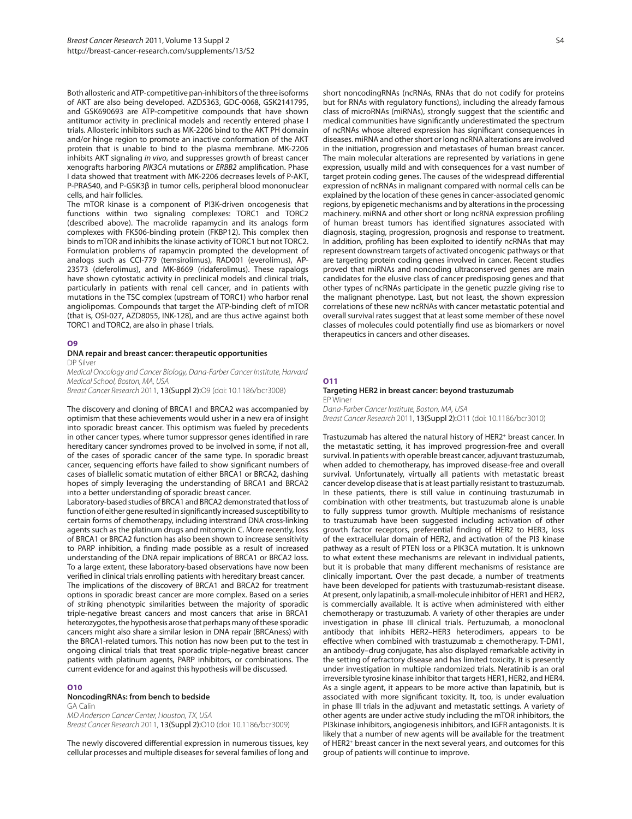Both allosteric and ATP-competitive pan-inhibitors of the three isoforms of AKT are also being developed. AZD5363, GDC-0068, GSK2141795, and GSK690693 are ATP-competitive compounds that have shown antitumor activity in preclinical models and recently entered phase I trials. Allosteric inhibitors such as MK-2206 bind to the AKT PH domain and/or hinge region to promote an inactive conformation of the AKT protein that is unable to bind to the plasma membrane. MK-2206 inhibits AKT signaling in vivo, and suppresses growth of breast cancer xenografts harboring PIK3CA mutations or ERBB2 amplification. Phase I data showed that treatment with MK-2206 decreases levels of P-AKT, P-PRAS40, and P-GSK3β in tumor cells, peripheral blood mononuclear cells, and hair follicles.

The mTOR kinase is a component of PI3K-driven oncogenesis that functions within two signaling complexes: TORC1 and TORC2 (described above). The macrolide rapamycin and its analogs form complexes with FK506-binding protein (FKBP12). This complex then binds to mTOR and inhibits the kinase activity of TORC1 but not TORC2. Formulation problems of rapamycin prompted the development of analogs such as CCI-779 (temsirolimus), RAD001 (everolimus), AP-23573 (deferolimus), and MK-8669 (ridaferolimus). These rapalogs have shown cytostatic activity in preclinical models and clinical trials, particularly in patients with renal cell cancer, and in patients with mutations in the TSC complex (upstream of TORC1) who harbor renal angiolipomas. Compounds that target the ATP-binding cleft of mTOR (that is, OSI-027, AZD8055, INK-128), and are thus active against both TORC1 and TORC2, are also in phase I trials.

#### **O9**

#### **DNA repair and breast cancer: therapeutic opportunities** DP Silver

Medical Oncology and Cancer Biology, Dana-Farber Cancer Institute, Harvard Medical School, Boston, MA, USA

Breast Cancer Research 2011, 13(Suppl 2):O9 (doi: 10.1186/bcr3008)

The discovery and cloning of BRCA1 and BRCA2 was accompanied by optimism that these achievements would usher in a new era of insight into sporadic breast cancer. This optimism was fueled by precedents in other cancer types, where tumor suppressor genes identified in rare hereditary cancer syndromes proved to be involved in some, if not all, of the cases of sporadic cancer of the same type. In sporadic breast cancer, sequencing efforts have failed to show significant numbers of cases of biallelic somatic mutation of either BRCA1 or BRCA2, dashing hopes of simply leveraging the understanding of BRCA1 and BRCA2 into a better understanding of sporadic breast cancer.

Laboratory-based studies of BRCA1 and BRCA2 demonstrated that loss of function of either gene resulted in significantly increased susceptibility to certain forms of chemotherapy, including interstrand DNA cross-linking agents such as the platinum drugs and mitomycin C. More recently, loss of BRCA1 or BRCA2 function has also been shown to increase sensitivity to PARP inhibition, a finding made possible as a result of increased understanding of the DNA repair implications of BRCA1 or BRCA2 loss. To a large extent, these laboratory-based observations have now been verified in clinical trials enrolling patients with hereditary breast cancer. The implications of the discovery of BRCA1 and BRCA2 for treatment options in sporadic breast cancer are more complex. Based on a series of striking phenotypic similarities between the majority of sporadic triple-negative breast cancers and most cancers that arise in BRCA1 heterozygotes, the hypothesis arose that perhaps many of these sporadic cancers might also share a similar lesion in DNA repair (BRCAness) with the BRCA1-related tumors. This notion has now been put to the test in ongoing clinical trials that treat sporadic triple-negative breast cancer patients with platinum agents, PARP inhibitors, or combinations. The current evidence for and against this hypothesis will be discussed.

#### **O10**

## **NoncodingRNAs: from bench to bedside**

GA Calin MD Anderson Cancer Center, Houston, TX, USA Breast Cancer Research 2011, 13(Suppl 2):O10 (doi: 10.1186/bcr3009)

The newly discovered differential expression in numerous tissues, key cellular processes and multiple diseases for several families of long and short noncodingRNAs (ncRNAs, RNAs that do not codify for proteins but for RNAs with regulatory functions), including the already famous class of microRNAs (miRNAs), strongly suggest that the scientific and medical communities have significantly underestimated the spectrum of ncRNAs whose altered expression has significant consequences in diseases. miRNA and other short or long ncRNA alterations are involved in the initiation, progression and metastases of human breast cancer. The main molecular alterations are represented by variations in gene expression, usually mild and with consequences for a vast number of target protein coding genes. The causes of the widespread differential expression of ncRNAs in malignant compared with normal cells can be explained by the location of these genes in cancer-associated genomic regions, by epigenetic mechanisms and by alterations in the processing machinery. miRNA and other short or long ncRNA expression profiling of human breast tumors has identified signatures associated with diagnosis, staging, progression, prognosis and response to treatment. In addition, profiling has been exploited to identify ncRNAs that may represent downstream targets of activated oncogenic pathways or that are targeting protein coding genes involved in cancer. Recent studies proved that miRNAs and noncoding ultraconserved genes are main candidates for the elusive class of cancer predisposing genes and that other types of ncRNAs participate in the genetic puzzle giving rise to the malignant phenotype. Last, but not least, the shown expression correlations of these new ncRNAs with cancer metastatic potential and overall survival rates suggest that at least some member of these novel classes of molecules could potentially find use as biomarkers or novel therapeutics in cancers and other diseases.

#### **O11**

#### **Targeting HER2 in breast cancer: beyond trastuzumab** EP Winer

Dana-Farber Cancer Institute, Boston, MA, USA Breast Cancer Research 2011, 13(Suppl 2):O11 (doi: 10.1186/bcr3010)

Trastuzumab has altered the natural history of HER2+ breast cancer. In the metastatic setting, it has improved progression-free and overall survival. In patients with operable breast cancer, adjuvant trastuzumab, when added to chemotherapy, has improved disease-free and overall survival. Unfortunately, virtually all patients with metastatic breast cancer develop disease that is at least partially resistant to trastuzumab. In these patients, there is still value in continuing trastuzumab in combination with other treatments, but trastuzumab alone is unable to fully suppress tumor growth. Multiple mechanisms of resistance to trastuzumab have been suggested including activation of other growth factor receptors, preferential finding of HER2 to HER3, loss of the extracellular domain of HER2, and activation of the PI3 kinase pathway as a result of PTEN loss or a PIK3CA mutation. It is unknown to what extent these mechanisms are relevant in individual patients, but it is probable that many different mechanisms of resistance are clinically important. Over the past decade, a number of treatments have been developed for patients with trastuzumab-resistant disease. At present, only lapatinib, a small-molecule inhibitor of HER1 and HER2, is commercially available. It is active when administered with either chemotherapy or trastuzumab. A variety of other therapies are under investigation in phase III clinical trials. Pertuzumab, a monoclonal antibody that inhibits HER2–HER3 heterodimers, appears to be effective when combined with trastuzumab  $\pm$  chemotherapy. T-DM1, an antibody–drug conjugate, has also displayed remarkable activity in the setting of refractory disease and has limited toxicity. It is presently under investigation in multiple randomized trials. Neratinib is an oral irreversible tyrosine kinase inhibitor that targets HER1, HER2, and HER4. As a single agent, it appears to be more active than lapatinib, but is associated with more significant toxicity. It, too, is under evaluation in phase III trials in the adjuvant and metastatic settings. A variety of other agents are under active study including the mTOR inhibitors, the PI3kinase inhibitors, angiogenesis inhibitors, and IGFR antagonists. It is likely that a number of new agents will be available for the treatment of HER2+ breast cancer in the next several years, and outcomes for this group of patients will continue to improve.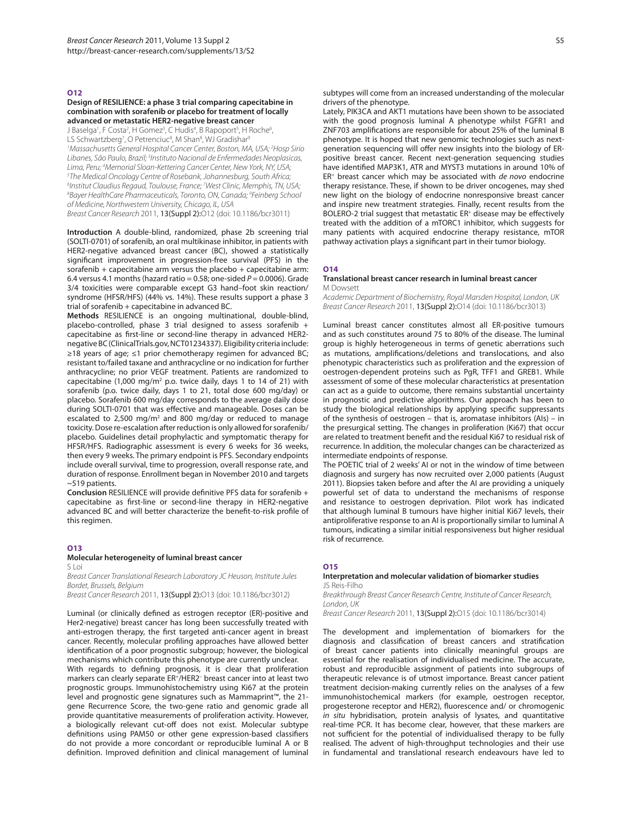#### **O12**

#### **Design of RESILIENCE: a phase 3 trial comparing capecitabine in combination with sorafenib or placebo for treatment of locally advanced or metastatic HER2-negative breast cancer**

J Baselga<sup>1</sup>, F Costa<sup>2</sup>, H Gomez<sup>3</sup>, C Hudis<sup>4</sup>, B Rapoport<sup>5</sup>, H Roche<sup>6</sup>, LS Schwartzberg<sup>7</sup>, O Petrenciuc<sup>8</sup>, M Shan<sup>8</sup>, WJ Gradishar<sup>9</sup>

<sup>1</sup>Massachusetts General Hospital Cancer Center, Boston, MA, USA; <sup>2</sup>Hosp Sirio Libanes, São Paulo, Brazil; <sup>3</sup>Instituto Nacional de Enfermedades Neoplasicas, Lima, Peru; 'Memorial Sloan-Kettering Cancer Center, New York, NY, USA;<br><sup>5</sup>The Medical Oncology Centre of Bosebank, Johannesburg, South Africa: The Medical Oncology Centre of Rosebank, Johannesburg, South Africa; <sup>6</sup>Institut Claudius Regaud, Toulouse, France; <sup>7</sup>West Clinic, Memphis, TN, USA;<br><sup>8</sup>Bayer HealthCare Pharmaceuticals, Toronto, ON, Canada: <sup>9</sup>Feinhera School Bayer HealthCare Pharmaceuticals, Toronto, ON, Canada; 9 Feinberg School of Medicine, Northwestern University, Chicago, IL, USA Breast Cancer Research 2011, 13(Suppl 2):O12 (doi: 10.1186/bcr3011)

**Introduction** A double-blind, randomized, phase 2b screening trial (SOLTI-0701) of sorafenib, an oral multikinase inhibitor, in patients with HER2-negative advanced breast cancer (BC), showed a statistically significant improvement in progression-free survival (PFS) in the sorafenib + capecitabine arm versus the placebo + capecitabine arm: 6.4 versus 4.1 months (hazard ratio = 0.58; one-sided  $P = 0.0006$ ). Grade 3/4 toxicities were comparable except G3 hand–foot skin reaction/ syndrome (HFSR/HFS) (44% vs. 14%). These results support a phase 3 trial of sorafenib + capecitabine in advanced BC.

**Methods** RESILIENCE is an ongoing multinational, double-blind, placebo-controlled, phase 3 trial designed to assess sorafenib + capecitabine as first-line or second-line therapy in advanced HER2negative BC (ClinicalTrials.gov, NCT01234337). Eligibility criteria include: ≥18 years of age; ≤1 prior chemotherapy regimen for advanced BC; resistant to/failed taxane and anthracycline or no indication for further anthracycline; no prior VEGF treatment. Patients are randomized to capecitabine  $(1,000 \text{ mg/m}^2 \text{ p.o.})$  twice daily, days 1 to 14 of 21) with sorafenib (p.o. twice daily, days 1 to 21, total dose 600 mg/day) or placebo. Sorafenib 600 mg/day corresponds to the average daily dose during SOLTI-0701 that was effective and manageable. Doses can be escalated to  $2,500 \, \text{mg/m}^2$  and 800 mg/day or reduced to manage toxicity. Dose re-escalation after reduction is only allowed for sorafenib/ placebo. Guidelines detail prophylactic and symptomatic therapy for HFSR/HFS. Radiographic assessment is every 6 weeks for 36 weeks, then every 9 weeks. The primary endpoint is PFS. Secondary endpoints include overall survival, time to progression, overall response rate, and duration of response. Enrollment began in November 2010 and targets  $~519$  patients.

**Conclusion RESILIENCE will provide definitive PFS data for sorafenib +** capecitabine as first-line or second-line therapy in HER2-negative advanced BC and will better characterize the benefit-to-risk profile of this regimen.

## **O13**

## **Molecular heterogeneity of luminal breast cancer**

S Loi

Breast Cancer Translational Research Laboratory JC Heuson, Institute Jules Bordet, Brussels, Belgium

Breast Cancer Research 2011, 13(Suppl 2):O13 (doi: 10.1186/bcr3012)

Luminal (or clinically defined as estrogen receptor (ER)-positive and Her2-negative) breast cancer has long been successfully treated with anti-estrogen therapy, the first targeted anti-cancer agent in breast cancer. Recently, molecular profiling approaches have allowed better identification of a poor prognostic subgroup; however, the biological mechanisms which contribute this phenotype are currently unclear.

With regards to defining prognosis, it is clear that proliferation markers can clearly separate ER+/HER2– breast cancer into at least two prognostic groups. Immunohistochemistry using Ki67 at the protein level and prognostic gene signatures such as Mammaprint™, the 21 gene Recurrence Score, the two-gene ratio and genomic grade all provide quantitative measurements of proliferation activity. However, a biologically relevant cut-off does not exist. Molecular subtype definitions using PAM50 or other gene expression-based classifiers do not provide a more concordant or reproducible luminal A or B definition. Improved definition and clinical management of luminal subtypes will come from an increased understanding of the molecular drivers of the phenotype.

Lately, PIK3CA and AKT1 mutations have been shown to be associated with the good prognosis luminal A phenotype whilst FGFR1 and ZNF703 amplifications are responsible for about 25% of the luminal B phenotype. It is hoped that new genomic technologies such as nextgeneration sequencing will offer new insights into the biology of ERpositive breast cancer. Recent next-generation sequencing studies have identified MAP3K1, ATR and MYST3 mutations in around 10% of  $ER<sup>+</sup>$  breast cancer which may be associated with *de novo* endocrine therapy resistance. These, if shown to be driver oncogenes, may shed new light on the biology of endocrine nonresponsive breast cancer and inspire new treatment strategies. Finally, recent results from the BOLERO-2 trial suggest that metastatic  $ER^+$  disease may be effectively treated with the addition of a mTORC1 inhibitor, which suggests for many patients with acquired endocrine therapy resistance, mTOR pathway activation plays a significant part in their tumor biology.

## **O14**

#### **Translational breast cancer research in luminal breast cancer** M Dowsett

Academic Department of Biochemistry, Royal Marsden Hospital, London, UK Breast Cancer Research 2011, 13(Suppl 2):O14 (doi: 10.1186/bcr3013)

Luminal breast cancer constitutes almost all ER-positive tumours and as such constitutes around 75 to 80% of the disease. The luminal group is highly heterogeneous in terms of genetic aberrations such as mutations, amplifications/deletions and translocations, and also phenotypic characteristics such as proliferation and the expression of oestrogen-dependent proteins such as PgR, TFF1 and GREB1. While assessment of some of these molecular characteristics at presentation can act as a guide to outcome, there remains substantial uncertainty in prognostic and predictive algorithms. Our approach has been to study the biological relationships by applying specific suppressants of the synthesis of oestrogen – that is, aromatase inhibitors (AIs) – in the presurgical setting. The changes in proliferation (Ki67) that occur are related to treatment benefit and the residual Ki67 to residual risk of recurrence. In addition, the molecular changes can be characterized as intermediate endpoints of response.

The POETIC trial of 2 weeks' AI or not in the window of time between diagnosis and surgery has now recruited over 2,000 patients (August 2011). Biopsies taken before and after the AI are providing a uniquely powerful set of data to understand the mechanisms of response and resistance to oestrogen deprivation. Pilot work has indicated that although luminal B tumours have higher initial Ki67 levels, their antiproliferative response to an AI is proportionally similar to luminal A tumours, indicating a similar initial responsiveness but higher residual risk of recurrence.

## **O15**

#### **Interpretation and molecular validation of biomarker studies** JS Reis-Filho

Breakthrough Breast Cancer Research Centre, Institute of Cancer Research, London, UK

Breast Cancer Research 2011, 13(Suppl 2):O15 (doi: 10.1186/bcr3014)

The development and implementation of biomarkers for the diagnosis and classification of breast cancers and stratification of breast cancer patients into clinically meaningful groups are essential for the realisation of individualised medicine. The accurate, robust and reproducible assignment of patients into subgroups of therapeutic relevance is of utmost importance. Breast cancer patient treatment decision-making currently relies on the analyses of a few immunohistochemical markers (for example, oestrogen receptor, progesterone receptor and HER2), fluorescence and/ or chromogenic in situ hybridisation, protein analysis of lysates, and quantitative real-time PCR. It has become clear, however, that these markers are not sufficient for the potential of individualised therapy to be fully realised. The advent of high-throughput technologies and their use in fundamental and translational research endeavours have led to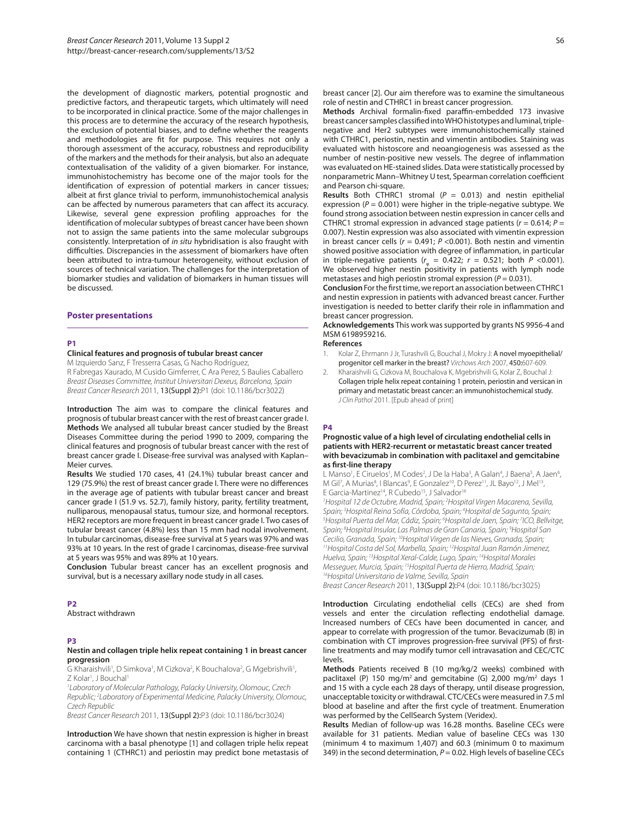the development of diagnostic markers, potential prognostic and predictive factors, and therapeutic targets, which ultimately will need to be incorporated in clinical practice. Some of the major challenges in this process are to determine the accuracy of the research hypothesis, the exclusion of potential biases, and to define whether the reagents and methodologies are fit for purpose. This requires not only a thorough assessment of the accuracy, robustness and reproducibility of the markers and the methods for their analysis, but also an adequate contextualisation of the validity of a given biomarker. For instance, immunohistochemistry has become one of the major tools for the identification of expression of potential markers in cancer tissues; albeit at first glance trivial to perform, immunohistochemical analysis can be affected by numerous parameters that can affect its accuracy. Likewise, several gene expression profiling approaches for the identification of molecular subtypes of breast cancer have been shown not to assign the same patients into the same molecular subgroups consistently. Interpretation of in situ hybridisation is also fraught with difficulties. Discrepancies in the assessment of biomarkers have often been attributed to intra-tumour heterogeneity, without exclusion of sources of technical variation. The challenges for the interpretation of biomarker studies and validation of biomarkers in human tissues will be discussed.

#### **Poster presentations**

#### **P1**

#### **Clinical features and prognosis of tubular breast cancer**

M Izquierdo Sanz, F Tresserra Casas, G Nacho Rodríguez,

R Fabregas Xaurado, M Cusido Gimferrer, C Ara Perez, S Baulies Caballero Breast Diseases Committee, Institut Universitari Dexeus, Barcelona, Spain Breast Cancer Research 2011, 13(Suppl 2):P1 (doi: 10.1186/bcr3022)

**Introduction** The aim was to compare the clinical features and prognosis of tubular breast cancer with the rest of breast cancer grade I. **Methods** We analysed all tubular breast cancer studied by the Breast Diseases Committee during the period 1990 to 2009, comparing the clinical features and prognosis of tubular breast cancer with the rest of breast cancer grade I. Disease-free survival was analysed with Kaplan– Meier curves.

**Results** We studied 170 cases, 41 (24.1%) tubular breast cancer and 129 (75.9%) the rest of breast cancer grade I. There were no differences in the average age of patients with tubular breast cancer and breast cancer grade I (51.9 vs. 52.7), family history, parity, fertility treatment, nulliparous, menopausal status, tumour size, and hormonal receptors. HER2 receptors are more frequent in breast cancer grade I. Two cases of tubular breast cancer (4.8%) less than 15 mm had nodal involvement. In tubular carcinomas, disease-free survival at 5 years was 97% and was 93% at 10 years. In the rest of grade I carcinomas, disease-free survival at 5 years was 95% and was 89% at 10 years.

**Conclusion** Tubular breast cancer has an excellent prognosis and survival, but is a necessary axillary node study in all cases.

## **P2**

Abstract withdrawn

#### **P3**

#### **Nestin and collagen triple helix repeat containing 1 in breast cancer progression**

G Kharaishvili<sup>1</sup>, D Simkova<sup>1</sup>, M Cizkova<sup>2</sup>, K Bouchalova<sup>2</sup>, G Mgebrishvili<sup>1</sup>, Z Kolar<sup>1</sup>, J Bouchal<sup>1</sup>

1 Laboratory of Molecular Pathology, Palacky University, Olomouc, Czech Republic; <sup>2</sup> Laboratory of Experimental Medicine, Palacky University, Olomouc,

Czech Republic

Breast Cancer Research 2011, 13(Suppl 2):P3 (doi: 10.1186/bcr3024)

**Introduction** We have shown that nestin expression is higher in breast carcinoma with a basal phenotype [1] and collagen triple helix repeat containing 1 (CTHRC1) and periostin may predict bone metastasis of

Methods Archival formalin-fixed paraffin-embedded 173 invasive breast cancer samples classified into WHO histotypes and luminal, triplenegative and Her2 subtypes were immunohistochemically stained with CTHRC1, periostin, nestin and vimentin antibodies. Staining was evaluated with histoscore and neoangiogenesis was assessed as the number of nestin-positive new vessels. The degree of inflammation was evaluated on HE-stained slides. Data were statistically processed by nonparametric Mann-Whitney U test, Spearman correlation coefficient and Pearson chi-square.

**Results** Both CTHRC1 stromal ( $P = 0.013$ ) and nestin epithelial expression ( $P = 0.001$ ) were higher in the triple-negative subtype. We found strong association between nestin expression in cancer cells and CTHRC1 stromal expression in advanced stage patients ( $r = 0.614$ ;  $P =$ 0.007). Nestin expression was also associated with vimentin expression in breast cancer cells ( $r = 0.491$ ;  $P < 0.001$ ). Both nestin and vimentin showed positive association with degree of inflammation, in particular in triple-negative patients  $(r<sub>\varphi</sub> = 0.422; r = 0.521;$  both  $P < 0.001$ ). We observed higher nestin positivity in patients with lymph node metastases and high periostin stromal expression ( $P = 0.031$ ).

Conclusion For the first time, we report an association between CTHRC1 and nestin expression in patients with advanced breast cancer. Further investigation is needed to better clarify their role in inflammation and breast cancer progression.

**Acknowledgements** This work was supported by grants NS 9956-4 and MSM 6198959216.

#### **References**

- 1. Kolar Z, Ehrmann J Jr, Turashvili G, Bouchal J, Mokry J: A novel myoepithelial/ progenitor cell marker in the breast? Virchows Arch 2007, 450:607-609.
- 2. Kharaishvili G, Cizkova M, Bouchalova K, Mgebrishvili G, Kolar Z, Bouchal J: Collagen triple helix repeat containing 1 protein, periostin and versican in primary and metastatic breast cancer: an immunohistochemical study. J Clin Pathol 2011. [Epub ahead of print]

#### **P4**

#### **Prognostic value of a high level of circulating endothelial cells in patients with HER2-recurrent or metastatic breast cancer treated with bevacizumab in combination with paclitaxel and gemcitabine**  as first-line therapy

L Manso<sup>1</sup>, E Ciruelos<sup>1</sup>, M Codes<sup>2</sup>, J De la Haba<sup>3</sup>, A Galan<sup>4</sup>, J Baena<sup>5</sup>, A Jaen<sup>6</sup>, M Gil<sup>7</sup>, A Murias<sup>8</sup>, I Blancas<sup>9</sup>, E Gonzalez<sup>10</sup>, D Perez<sup>11</sup>, JL Bayo<sup>12</sup>, J Mel<sup>13</sup>, E Garcia-Martinez<sup>14</sup>, R Cubedo<sup>15</sup>, J Salvador<sup>16</sup>

<sup>1</sup>Hospital 12 de Octubre, Madrid, Spain; <sup>2</sup>Hospital Virgen Macarena, Sevilla, Spain; <sup>3</sup>Hospital Reina Sofía, Córdoba, Spain; <sup>4</sup>Hospital de Sagunto, Spain;<br><sup>5</sup>Hospital Puerta del Mar. Cádiz, Spain: <sup>6</sup>Hospital de Jaen, Spain: <sup>7</sup>ICO, Belly. Hospital Puerta del Mar, Cádiz, Spain; <sup>6</sup>Hospital de Jaen, Spain; <sup>7</sup>ICO, Bellvitge, Spain; <sup>8</sup>Hospital Insular, Las Palmas de Gran Canaria, Spain; <sup>9</sup>Hospital San Cecilio, Granada, Spain; <sup>10</sup>Hospital Virgen de las Nieves, Granada, Spain;<br><sup>11</sup>Hospital Costa del Sol, Marbella, Spain; <sup>12</sup>Hospital Juan Ramón Jimenez, Huelva, Spain; 13Hospital Xeral-Calde, Lugo, Spain; 14Hospital Morales Messeguer, Murcia, Spain; <sup>15</sup>Hospital Puerta de Hierro, Madrid, Spain;<br><sup>16</sup>Hospital Universitario de Valme, Sevilla, Spain Breast Cancer Research 2011, 13(Suppl 2):P4 (doi: 10.1186/bcr3025)

**Introduction** Circulating endothelial cells (CECs) are shed from

vessels and enter the circulation reflecting endothelial damage. Increased numbers of CECs have been documented in cancer, and appear to correlate with progression of the tumor. Bevacizumab (B) in combination with CT improves progression-free survival (PFS) of firstline treatments and may modify tumor cell intravasation and CEC/CTC levels.

**Methods** Patients received B (10 mg/kg/2 weeks) combined with paclitaxel (P) 150 mg/m<sup>2</sup> and gemcitabine (G) 2,000 mg/m<sup>2</sup> days 1 and 15 with a cycle each 28 days of therapy, until disease progression, unacceptable toxicity or withdrawal. CTC/CECs were measured in 7.5 ml blood at baseline and after the first cycle of treatment. Enumeration was performed by the CellSearch System (Veridex).

**Results** Median of follow-up was 16.28 months. Baseline CECs were available for 31 patients. Median value of baseline CECs was 130 (minimum 4 to maximum 1,407) and 60.3 (minimum 0 to maximum 349) in the second determination,  $P = 0.02$ . High levels of baseline CECs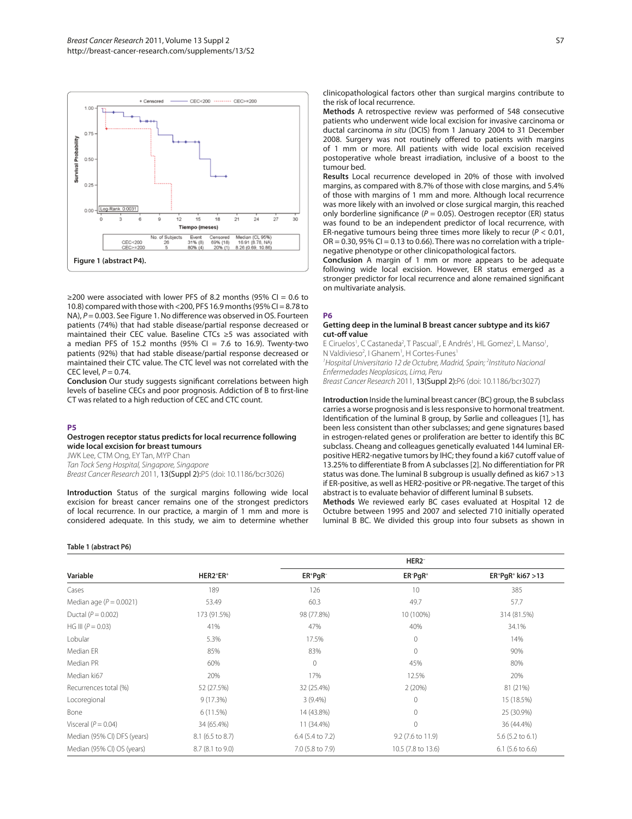

≥200 were associated with lower PFS of 8.2 months (95% CI = 0.6 to 10.8) compared with those with <200, PFS 16.9 months (95% CI = 8.78 to  $NA$ ),  $P = 0.003$ . See Figure 1. No difference was observed in OS. Fourteen patients (74%) that had stable disease/partial response decreased or maintained their CEC value. Baseline CTCs ≥5 was associated with a median PFS of 15.2 months (95% CI = 7.6 to 16.9). Twenty-two patients (92%) that had stable disease/partial response decreased or maintained their CTC value. The CTC level was not correlated with the CEC level,  $P = 0.74$ .

**Conclusion** Our study suggests significant correlations between high levels of baseline CECs and poor prognosis. Addiction of B to first-line CT was related to a high reduction of CEC and CTC count.

#### **P5**

#### **Oestrogen receptor status predicts for local recurrence following wide local excision for breast tumours**

JWK Lee, CTM Ong, EY Tan, MYP Chan

Tan Tock Seng Hospital, Singapore, Singapore Breast Cancer Research 2011, 13(Suppl 2):P5 (doi: 10.1186/bcr3026)

**Introduction** Status of the surgical margins following wide local excision for breast cancer remains one of the strongest predictors of local recurrence. In our practice, a margin of 1 mm and more is considered adequate. In this study, we aim to determine whether

#### **Table 1 (abstract P6)**

clinicopathological factors other than surgical margins contribute to the risk of local recurrence.

**Methods** A retrospective review was performed of 548 consecutive patients who underwent wide local excision for invasive carcinoma or ductal carcinoma in situ (DCIS) from 1 January 2004 to 31 December 2008. Surgery was not routinely offered to patients with margins of 1 mm or more. All patients with wide local excision received postoperative whole breast irradiation, inclusive of a boost to the tumour bed.

**Results** Local recurrence developed in 20% of those with involved margins, as compared with 8.7% of those with close margins, and 5.4% of those with margins of 1 mm and more. Although local recurrence was more likely with an involved or close surgical margin, this reached only borderline significance ( $P = 0.05$ ). Oestrogen receptor (ER) status was found to be an independent predictor of local recurrence, with ER-negative tumours being three times more likely to recur ( $P < 0.01$ ,  $OR = 0.30$ , 95% CI = 0.13 to 0.66). There was no correlation with a triplenegative phenotype or other clinicopathological factors.

**Conclusion** A margin of 1 mm or more appears to be adequate following wide local excision. However, ER status emerged as a stronger predictor for local recurrence and alone remained significant on multivariate analysis.

#### **P6**

#### **Getting deep in the luminal B breast cancer subtype and its ki67 cut-off value**

E Ciruelos<sup>1</sup>, C Castaneda<sup>2</sup>, T Pascual<sup>1</sup>, E Andrés<sup>1</sup>, HL Gomez<sup>2</sup>, L Manso<sup>1</sup>, N Valdivieso<sup>2</sup>, I Ghanem<sup>1</sup>, H Cortes-Funes<sup>1</sup>

<sup>1</sup>Hospital Universitario 12 de Octubre, Madrid, Spain; <sup>2</sup>Instituto Nacional Enfermedades Neoplasicas, Lima, Peru

Breast Cancer Research 2011, 13(Suppl 2):P6 (doi: 10.1186/bcr3027)

**Introduction** Inside the luminal breast cancer (BC) group, the B subclass carries a worse prognosis and is less responsive to hormonal treatment. Identification of the luminal B group, by Sørlie and colleagues [1], has been less consistent than other subclasses; and gene signatures based in estrogen-related genes or proliferation are better to identify this BC subclass. Cheang and colleagues genetically evaluated 144 luminal ERpositive HER2-negative tumors by IHC; they found a ki67 cutoff value of 13.25% to differentiate B from A subclasses [2]. No differentiation for PR status was done. The luminal B subgroup is usually defined as  $k$ i67 >13 if ER-positive, as well as HER2-positive or PR-negative. The target of this abstract is to evaluate behavior of different luminal B subsets.

**Methods** We reviewed early BC cases evaluated at Hospital 12 de Octubre between 1995 and 2007 and selected 710 initially operated luminal B BC. We divided this group into four subsets as shown in

| Variable                    | HER2 <sup>+</sup> ER <sup>+</sup> | HER2-            |                    |                    |
|-----------------------------|-----------------------------------|------------------|--------------------|--------------------|
|                             |                                   | ER+PgR-          | ER-PgR+            | $ER+PqR+ki67 > 13$ |
| Cases                       | 189                               | 126              | 10                 | 385                |
| Median age $(P = 0.0021)$   | 53.49                             | 60.3             | 49.7               | 57.7               |
| Ductal ( $P = 0.002$ )      | 173 (91.5%)                       | 98 (77.8%)       | 10 (100%)          | 314 (81.5%)        |
| HG III ( $P = 0.03$ )       | 41%                               | 47%              | 40%                | 34.1%              |
| Lobular                     | 5.3%                              | 17.5%            | $\mathbf 0$        | 14%                |
| Median ER                   | 85%                               | 83%              | $\mathbf{0}$       | 90%                |
| Median PR                   | 60%                               | $\Omega$         | 45%                | 80%                |
| Median ki67                 | 20%                               | 17%              | 12.5%              | 20%                |
| Recurrences total (%)       | 52 (27.5%)                        | 32 (25.4%)       | 2(20%)             | 81 (21%)           |
| Locoregional                | 9(17.3%)                          | $3(9.4\%)$       | $\mathbf{0}$       | 15 (18.5%)         |
| Bone                        | 6(11.5%)                          | 14 (43.8%)       | $\mathbf{0}$       | 25 (30.9%)         |
| Visceral ( $P = 0.04$ )     | 34 (65.4%)                        | 11 (34.4%)       | $\mathbf{0}$       | 36 (44.4%)         |
| Median (95% CI) DFS (years) | 8.1 (6.5 to 8.7)                  | 6.4 (5.4 to 7.2) | 9.2 (7.6 to 11.9)  | $5.6$ (5.2 to 6.1) |
| Median (95% CI) OS (years)  | 8.7 (8.1 to 9.0)                  | 7.0 (5.8 to 7.9) | 10.5 (7.8 to 13.6) | $6.1$ (5.6 to 6.6) |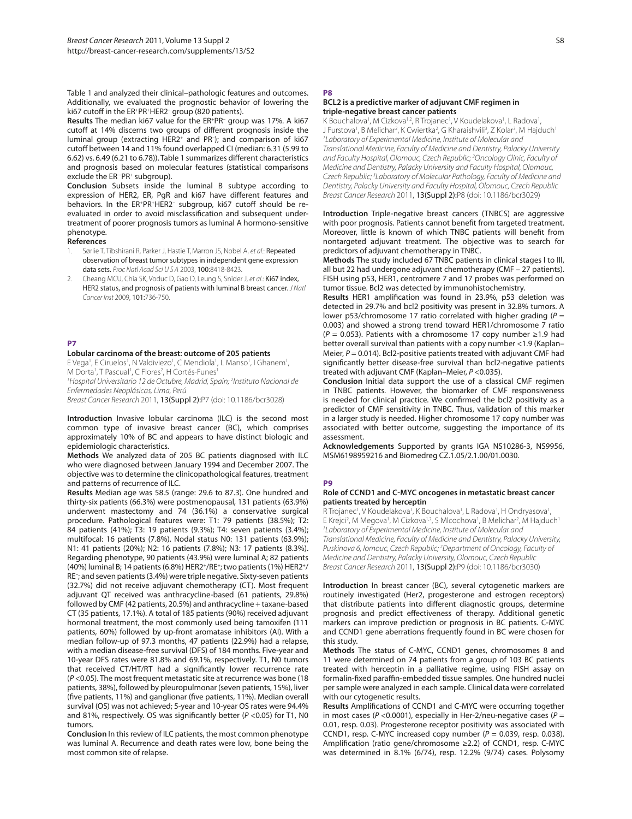Table 1 and analyzed their clinical–pathologic features and outcomes. Additionally, we evaluated the prognostic behavior of lowering the ki67 cutoff in the ER<sup>+</sup>PR<sup>+</sup>HER2<sup>-</sup> group (820 patients).

Results The median ki67 value for the ER<sup>+</sup>PR<sup>-</sup> group was 17%. A ki67 cutoff at 14% discerns two groups of different prognosis inside the luminal group (extracting HER2<sup>+</sup> and PR<sup>-</sup>); and comparison of ki67 cutoff between 14 and 11% found overlapped CI (median: 6.31 (5.99 to 6.62) vs. 6.49 (6.21 to 6.78)). Table 1 summarizes different characteristics and prognosis based on molecular features (statistical comparisons exclude the ER<sup>--</sup>PR<sup>+</sup> subgroup).

**Conclusion** Subsets inside the luminal B subtype according to expression of HER2, ER, PgR and ki67 have different features and behaviors. In the ER<sup>+</sup>PR<sup>+</sup>HER2<sup>-</sup> subgroup, ki67 cutoff should be reevaluated in order to avoid misclassification and subsequent undertreatment of poorer prognosis tumors as luminal A hormono-sensitive phenotype.

#### **References**

- 1. Sørlie T, Tibshirani R, Parker J, Hastie T, Marron JS, Nobel A, et al.: Repeated observation of breast tumor subtypes in independent gene expression data sets. Proc Natl Acad Sci U S A 2003, 100:8418-8423.
- 2. Cheang MCU, Chia SK, Voduc D, Gao D, Leung S, Snider J, et al.: Ki67 index, HER2 status, and prognosis of patients with luminal B breast cancer. J Natl Cancer Inst 2009, 101:736-750.

#### **P7**

#### **Lobular carcinoma of the breast: outcome of 205 patients**

E Vega<sup>1</sup>, E Ciruelos<sup>1</sup>, N Valdiviezo<sup>1</sup>, C Mendiola<sup>1</sup>, L Manso<sup>1</sup>, I Ghanem<sup>1</sup>, M Dorta<sup>1</sup>, T Pascual<sup>1</sup>, C Flores<sup>2</sup>, H Cortés-Funes<sup>1</sup>

<sup>1</sup>Hospital Universitario 12 de Octubre, Madrid, Spain; <sup>2</sup>Instituto Nacional de Enfermedades Neoplásicas, Lima, Perú

Breast Cancer Research 2011, 13(Suppl 2):P7 (doi: 10.1186/bcr3028)

**Introduction** Invasive lobular carcinoma (ILC) is the second most common type of invasive breast cancer (BC), which comprises approximately 10% of BC and appears to have distinct biologic and epidemiologic characteristics.

**Methods** We analyzed data of 205 BC patients diagnosed with ILC who were diagnosed between January 1994 and December 2007. The objective was to determine the clinicopathological features, treatment and patterns of recurrence of ILC.

**Results** Median age was 58.5 (range: 29.6 to 87.3). One hundred and thirty-six patients (66.3%) were postmenopausal, 131 patients (63.9%) underwent mastectomy and 74 (36.1%) a conservative surgical procedure. Pathological features were: T1: 79 patients (38.5%); T2: 84 patients (41%); T3: 19 patients (9.3%); T4: seven patients (3.4%); multifocal: 16 patients (7.8%). Nodal status N0: 131 patients (63.9%); N1: 41 patients (20%); N2: 16 patients (7.8%); N3: 17 patients (8.3%). Regarding phenotype, 90 patients (43.9%) were luminal A; 82 patients (40%) luminal B; 14 patients (6.8%) HER2<sup>+</sup>/RE<sup>+</sup>; two patients (1%) HER2<sup>+</sup>/ RE– ; and seven patients (3.4%) were triple negative. Sixty-seven patients (32.7%) did not receive adjuvant chemotherapy (CT). Most frequent adjuvant QT received was anthracycline-based (61 patients, 29.8%) followed by CMF (42 patients, 20.5%) and anthracycline + taxane-based CT (35 patients, 17.1%). A total of 185 patients (90%) received adjuvant hormonal treatment, the most commonly used being tamoxifen (111 patients, 60%) followed by up-front aromatase inhibitors (AI). With a median follow-up of 97.3 months, 47 patients (22.9%) had a relapse, with a median disease-free survival (DFS) of 184 months. Five-year and 10-year DFS rates were 81.8% and 69.1%, respectively. T1, N0 tumors that received CT/HT/RT had a significantly lower recurrence rate (P <0.05). The most frequent metastatic site at recurrence was bone (18 patients, 38%), followed by pleuropulmonar (seven patients, 15%), liver (five patients, 11%) and ganglionar (five patients, 11%). Median overall survival (OS) was not achieved; 5-year and 10-year OS rates were 94.4% and 81%, respectively. OS was significantly better ( $P < 0.05$ ) for T1, N0 tumors.

**Conclusion** In this review of ILC patients, the most common phenotype was luminal A. Recurrence and death rates were low, bone being the most common site of relapse.

## **P8**

#### **BCL2 is a predictive marker of adjuvant CMF regimen in triple-negative breast cancer patients**

K Bouchalova<sup>1</sup>, M Cizkova<sup>1,2</sup>, R Trojanec<sup>1</sup>, V Koudelakova<sup>1</sup>, L Radova<sup>1</sup>, J Furstova<sup>1</sup>, B Melichar<sup>2</sup>, K Cwiertka<sup>2</sup>, G Kharaishvili<sup>3</sup>, Z Kolar<sup>3</sup>, M Hajduch<sup>1</sup> 1 Laboratory of Experimental Medicine, Institute of Molecular and Translational Medicine, Faculty of Medicine and Dentistry, Palacky University and Faculty Hospital, Olomouc, Czech Republic; <sup>2</sup>Oncology Clinic, Faculty of Medicine and Dentistry, Palacky University and Faculty Hospital, Olomouc, Czech Republic; <sup>3</sup> Laboratory of Molecular Pathology, Faculty of Medicine and Dentistry, Palacky University and Faculty Hospital, Olomouc, Czech Republic Breast Cancer Research 2011, 13(Suppl 2):P8 (doi: 10.1186/bcr3029)

**Introduction** Triple-negative breast cancers (TNBCS) are aggressive with poor prognosis. Patients cannot benefit from targeted treatment. Moreover, little is known of which TNBC patients will benefit from nontargeted adjuvant treatment. The objective was to search for predictors of adjuvant chemotherapy in TNBC.

**Methods** The study included 67 TNBC patients in clinical stages I to III, all but 22 had undergone adjuvant chemotherapy (CMF – 27 patients). FISH using p53, HER1, centromere 7 and 17 probes was performed on tumor tissue. Bcl2 was detected by immunohistochemistry.

Results HER1 amplification was found in 23.9%, p53 deletion was detected in 29.7% and bcl2 positivity was present in 32.8% tumors. A lower p53/chromosome 17 ratio correlated with higher grading ( $P =$ 0.003) and showed a strong trend toward HER1/chromosome 7 ratio ( $P = 0.053$ ). Patients with a chromosome 17 copy number ≥1.9 had better overall survival than patients with a copy number <1.9 (Kaplan– Meier,  $P = 0.014$ ). Bcl2-positive patients treated with adjuvant CMF had significantly better disease-free survival than bcl2-negative patients treated with adjuvant CMF (Kaplan–Meier, P <0.035).

**Conclusion** Initial data support the use of a classical CMF regimen in TNBC patients. However, the biomarker of CMF responsiveness is needed for clinical practice. We confirmed the bcl2 positivity as a predictor of CMF sensitivity in TNBC. Thus, validation of this marker in a larger study is needed. Higher chromosome 17 copy number was associated with better outcome, suggesting the importance of its assessment.

**Acknowledgements** Supported by grants IGA NS10286-3, NS9956, MSM6198959216 and Biomedreg CZ.1.05/2.1.00/01.0030.

## **P9**

## **Role of CCND1 and C-MYC oncogenes in metastatic breast cancer patients treated by herceptin**

R Trojanec<sup>1</sup>, V Koudelakova<sup>1</sup>, K Bouchalova<sup>1</sup>, L Radova<sup>1</sup>, H Ondryasova<sup>1</sup>, E Krejci<sup>2</sup>, M Megova<sup>1</sup>, M Cizkova<sup>1,2</sup>, S Mlcochova<sup>1</sup>, B Melichar<sup>2</sup>, M Hajduch<sup>1</sup> 1 Laboratory of Experimental Medicine, Institute of Molecular and Translational Medicine, Faculty of Medicine and Dentistry, Palacky University, Puskinova 6, Iomouc, Czech Republic; <sup>2</sup>Department of Oncology, Faculty of Medicine and Dentistry, Palacky University, Olomouc, Czech Republic Breast Cancer Research 2011, 13(Suppl 2):P9 (doi: 10.1186/bcr3030)

**Introduction** In breast cancer (BC), several cytogenetic markers are routinely investigated (Her2, progesterone and estrogen receptors) that distribute patients into different diagnostic groups, determine prognosis and predict effectiveness of therapy. Additional genetic markers can improve prediction or prognosis in BC patients. C-MYC and CCND1 gene aberrations frequently found in BC were chosen for this study.

**Methods** The status of C-MYC, CCND1 genes, chromosomes 8 and 11 were determined on 74 patients from a group of 103 BC patients treated with herceptin in a palliative regime, using FISH assay on formalin-fixed paraffin-embedded tissue samples. One hundred nuclei per sample were analyzed in each sample. Clinical data were correlated with our cytogenetic results.

Results Amplifications of CCND1 and C-MYC were occurring together in most cases ( $P < 0.0001$ ), especially in Her-2/neu-negative cases ( $P =$ 0.01, resp. 0.03). Progesterone receptor positivity was associated with CCND1, resp. C-MYC increased copy number ( $P = 0.039$ , resp. 0.038). Amplification (ratio gene/chromosome ≥2.2) of CCND1, resp. C-MYC was determined in 8.1% (6/74), resp. 12.2% (9/74) cases. Polysomy